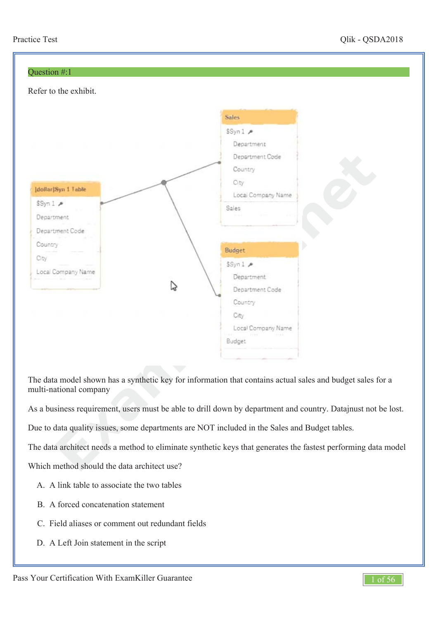

The data model shown has a synthetic key for information that contains actual sales and budget sales for a multi-national company

As a business requirement, users must be able to drill down by department and country. Datajnust not be lost.

Due to data quality issues, some departments are NOT included in the Sales and Budget tables.

The data architect needs a method to eliminate synthetic keys that generates the fastest performing data model

Which method should the data architect use?

- A. A link table to associate the two tables
- B. A forced concatenation statement
- C. Field aliases or comment out redundant fields
- D. A Left Join statement in the script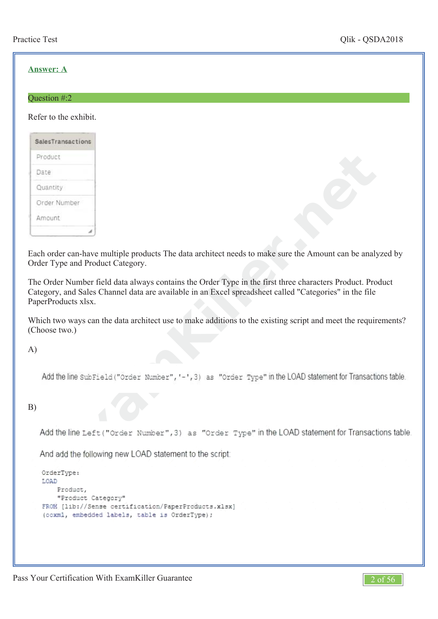## **Answer: A**

#### Question #:2

Refer to the exhibit.

| SalesTransactions |
|-------------------|
| Product           |
| Date              |
| Quantity          |
| Order Number      |
| Amount            |
|                   |

Each order can-have multiple products The data architect needs to make sure the Amount can be analyzed by Order Type and Product Category.

**xample and the set of the data architect needs to make sure the Amount can be an Product Category.**<br>*x* **are field data always contains the Order Type in the first three characters Product. Figure 6. Channel data are avai** The Order Number field data always contains the Order Type in the first three characters Product. Product Category, and Sales Channel data are available in an Excel spreadsheet called "Categories" in the file PaperProducts xlsx.

Which two ways can the data architect use to make additions to the existing script and meet the requirements? (Choose two.)

A)

## B)

```
OrderType:
LOAD
   Product,
    "Product Category"
FROM [lib://Sense certification/PaperProducts.xlsx]
(ooxml, embedded labels, table is OrderType);
```
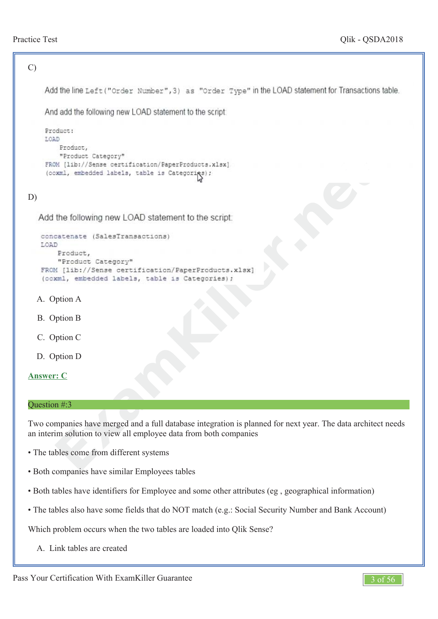```
C)
     Add the line Left ("Order Number", 3) as "Order Type" in the LOAD statement for Transactions table.
     And add the following new LOAD statement to the script.
     Product:
     LOAD
          Product,
        Example 18 and 2 and 2 and 2 and 2 and 2 and 2 and 2 and 2 and 2 and 2 and 2 and 2 and 2 and 2 and 2 and 2 and 2 and 2 and 2 and 2 and 2 and 2 and 2 and 2 and 2 and 2 and 2 and 2 and 2 and 2 and 2 and 2 and 2 and 2 and 2
D)
   A.
Option A
   B.
Option B
   C.
Option C
   D.
Option D
Answer: C
Question #:3
Two companies have merged and a full database integration is planned for next year. The data architect needs
an interim solution to view all employee data from both companies
• The tables come from different systems
• Both companies have similar Employees tables
• Both tables have identifiers for Employee and some other attributes (eg , geographical information)
• The tables also have some fields that do NOT match (e.g.: Social Security Number and Bank Account)
Which problem occurs when the two tables are loaded into Qlik Sense?
   A.
Link tables are created
```
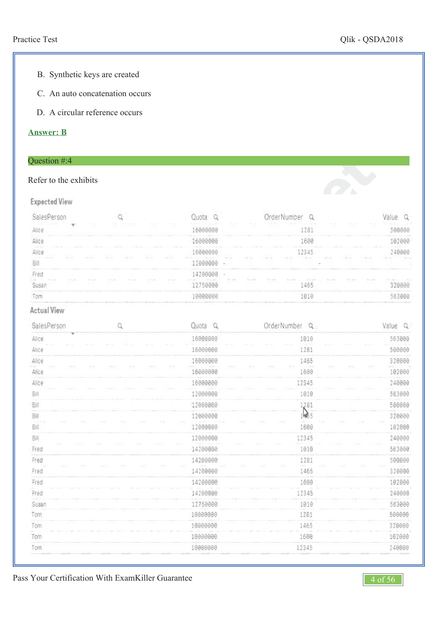*et*

- B. Synthetic keys are created
- C. An auto concatenation occurs
- D. A circular reference occurs

#### **Answer: B**

## Question #:4

## Refer to the exhibits

#### **Expected View**

|                                              |                                     |                         |                   |                                            |                                                           |                                 |                          |                          |                   | OrderNumber |            |                        |     |     |                              |
|----------------------------------------------|-------------------------------------|-------------------------|-------------------|--------------------------------------------|-----------------------------------------------------------|---------------------------------|--------------------------|--------------------------|-------------------|-------------|------------|------------------------|-----|-----|------------------------------|
| Alice                                        | The Control of the<br>-21           | n an                    |                   | <b>STATE OF GROOM</b><br><b>STATISTICS</b> | <b>CONTRACTOR</b><br><b>Service Control</b><br>ALC: NORTH | the company's                   | <b>Contract Contract</b> | <b>Contract Contract</b> |                   |             | --<br>1281 | <b>Service Control</b> |     |     |                              |
| Alice                                        |                                     |                         | <b>CONTRACTOR</b> |                                            |                                                           |                                 |                          |                          |                   |             | 696        |                        |     |     |                              |
| <b>CONTRACTOR</b><br>Alice                   |                                     |                         |                   |                                            |                                                           |                                 |                          |                          |                   |             | <b>But</b> |                        |     |     | continued before the control |
| contact the control<br>contact comes<br>Bill | contact contact                     | the control of the con- | the process of    | and the con-                               | and the company                                           | company of their                |                          |                          |                   |             |            |                        |     |     |                              |
| Fred                                         |                                     |                         |                   |                                            |                                                           | a                               |                          |                          |                   |             |            |                        |     |     |                              |
| The Southern<br>Susar                        | <b>CONTRACTOR</b><br><b>COLLEGE</b> | The State State         | The State State   | <b>COLLEGE</b>                             | <b>CONTRACTOR</b>                                         | and and supplet<br>The Southern | the process of           |                          | and the company's | ---         | 465        | ---                    | --- | --- |                              |
| Tom                                          |                                     |                         |                   |                                            |                                                           |                                 |                          |                          |                   |             | 1018       |                        |     |     | инг                          |
| ---                                          | ---<br>----                         |                         |                   | ----                                       | ---                                                       |                                 | ---                      | ----                     | ----              | ----        | ---        | ---                    | --- | --- |                              |

## Actual View

| SalesPerson                         | Q | Quota<br>Q       | OrderNumber <sub>Q</sub>           | Value<br>Q |
|-------------------------------------|---|------------------|------------------------------------|------------|
| Alice                               |   | 16000000         | 1010<br>122029                     | 563000     |
| Alice                               |   | 16000000         | 1281                               | 500000     |
| Alice                               |   | 16000000         | 1465                               | 320000     |
| - 20<br>Alice                       |   | 16000000         | 1600                               | 102000     |
| Alice                               |   | 16000000         | 12345                              | 240000     |
| BIII                                |   | 12000000         | 1010                               | 563000     |
| Bill                                |   | 12000000         |                                    | 500000     |
| Bil                                 |   | 12000000         | $\frac{1281}{1005}$                | 320000     |
| Bill                                |   | 12000000         | 1600                               | 102000     |
| Bill                                |   | 12000000         | 12345                              | 240000     |
| $\gamma \rightarrow \gamma$<br>Fred |   | 14200000         | $\mathcal{N}(\mathcal{M})$<br>1010 | 563000     |
| Fred                                |   | 14200000         | 1281<br><b>CONTRACTOR</b>          | 500000     |
| <b>COLD</b><br>Fred                 |   | 24.9<br>14200000 | (ska<br>$-111$<br>1465             | 320000     |
| Fred                                |   | 14200000         | 1600                               | 102000     |
| Fred                                |   | 14200000         | 12345                              | 240000     |
| Susan                               |   | 12750000         | 1010                               | 563000     |
| Tom                                 |   | 10000000         | 1281                               | 500000     |
| Tom                                 |   | 10000000         | 1465                               | 320000     |
| Tom                                 |   | 10000000         | 1600                               | 102000     |
| Tom                                 |   | 10000000         | 12345                              | 240000     |

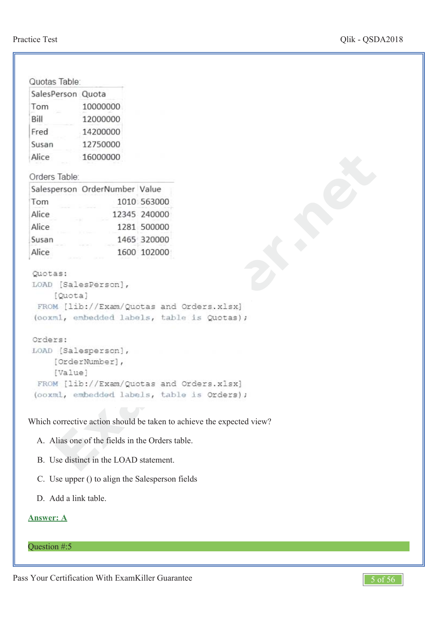| Quotas Table:     |                                                                                                                          |  |
|-------------------|--------------------------------------------------------------------------------------------------------------------------|--|
| SalesPerson Quota |                                                                                                                          |  |
| Tom               | 10000000                                                                                                                 |  |
| Bill              | 12000000                                                                                                                 |  |
| Fred              | 14200000                                                                                                                 |  |
| Susan             | 12750000                                                                                                                 |  |
| Alice             | 16000000                                                                                                                 |  |
| Orders Table:     |                                                                                                                          |  |
|                   | Salesperson OrderNumber Value                                                                                            |  |
| Tom               | 1010 563000                                                                                                              |  |
| Alice             | 12345 240000                                                                                                             |  |
| Alice             | 1281 500000                                                                                                              |  |
| Susan             | 1465 320000                                                                                                              |  |
| Alice             | 1600 102000                                                                                                              |  |
| Quotas:           | LOAD [SalesPerson],<br>[Quota]<br>FROM [lib://Exam/Quotas and Orders.xlsx]<br>(coxml, embedded labels, table is Quotas); |  |
| Orders:           |                                                                                                                          |  |
|                   | LOAD [Salesperson],<br>[OrderNumber],<br>[Value]<br>FROM [lib://Exam/Quotas and Orders.xlsx]                             |  |
|                   | (ooxml, embedded labels, table is Orders);                                                                               |  |
|                   | Which corrective action should be taken to achieve the expected view?                                                    |  |
|                   | A. Alias one of the fields in the Orders table.                                                                          |  |
|                   | B. Use distinct in the LOAD statement.                                                                                   |  |

- A. Alias one of the fields in the Orders table.
- B. Use distinct in the LOAD statement.
- C. Use upper () to align the Salesperson fields
- D. Add a link table.

## **Answer: A**

Question #:5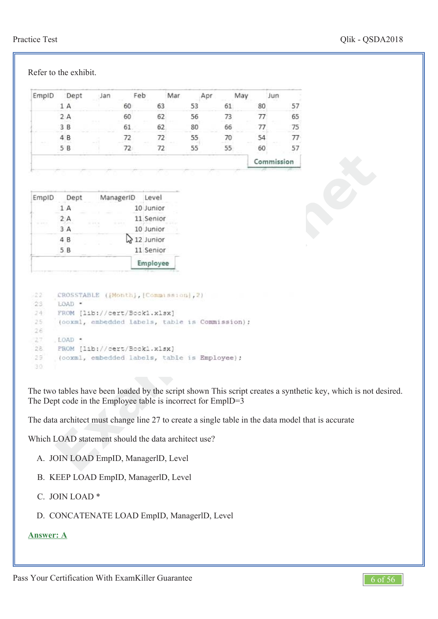## Practice Test Qlik - QSDA2018

| EmpID                                                | Dept              | Jan                                                                                                   |    | Feb       |       | Mar | Apr                                                                                             |    | May |    | Jun        |                 |                                                                                                      |  |
|------------------------------------------------------|-------------------|-------------------------------------------------------------------------------------------------------|----|-----------|-------|-----|-------------------------------------------------------------------------------------------------|----|-----|----|------------|-----------------|------------------------------------------------------------------------------------------------------|--|
|                                                      | 1 A               |                                                                                                       | 60 |           | 63    |     | 53                                                                                              | 61 |     | 80 |            | 57              |                                                                                                      |  |
|                                                      | 2A                |                                                                                                       | 60 |           | 62    |     | 56                                                                                              | 73 |     | 77 |            | 65              |                                                                                                      |  |
|                                                      | 3B                |                                                                                                       | 61 |           | 62    |     | 80                                                                                              | 66 |     | 77 |            | 75              |                                                                                                      |  |
|                                                      | 4 B               |                                                                                                       | 72 |           | 72    |     | 55                                                                                              | 70 |     | 54 |            | 77 <sup>°</sup> |                                                                                                      |  |
|                                                      | 5 B               |                                                                                                       | 72 |           | 72    |     | 55                                                                                              | 55 |     | 60 |            | 57              |                                                                                                      |  |
|                                                      |                   |                                                                                                       |    |           |       |     |                                                                                                 |    |     |    | Commission |                 |                                                                                                      |  |
|                                                      |                   |                                                                                                       |    |           |       |     |                                                                                                 |    |     |    |            |                 |                                                                                                      |  |
|                                                      |                   |                                                                                                       |    |           |       |     |                                                                                                 |    |     |    |            |                 |                                                                                                      |  |
| EmpID                                                | Dept              | ManagerID                                                                                             |    |           | Level |     |                                                                                                 |    |     |    |            |                 |                                                                                                      |  |
|                                                      | 1 A               |                                                                                                       |    | 10 Junior |       |     |                                                                                                 |    |     |    |            |                 |                                                                                                      |  |
|                                                      | 2A                |                                                                                                       |    | 11 Senior |       |     |                                                                                                 |    |     |    |            |                 |                                                                                                      |  |
|                                                      | 3 A               |                                                                                                       |    | 10 Junior |       |     |                                                                                                 |    |     |    |            |                 |                                                                                                      |  |
|                                                      | 4 B               |                                                                                                       |    | 12 Junior |       |     |                                                                                                 |    |     |    |            |                 |                                                                                                      |  |
|                                                      | 5B                |                                                                                                       |    | 11 Senior |       |     |                                                                                                 |    |     |    |            |                 |                                                                                                      |  |
|                                                      |                   |                                                                                                       |    | Employee  |       |     |                                                                                                 |    |     |    |            |                 |                                                                                                      |  |
| 22<br>23<br>24.<br>25<br>26<br>27<br>28.<br>29<br>30 | LOAD .<br>.LOAD . | CROSSTABLE ([Month], [Commussion], 2)<br>FROM [lib://cert/Book1.xlsx]<br>FROM [lib://cert/Bookl.xlsx] |    |           |       |     | (coxml, embedded labels, table is Commission) ;<br>(coxml, embedded labels, table is Employee); |    |     |    |            |                 |                                                                                                      |  |
|                                                      |                   |                                                                                                       |    |           |       |     | The Dept code in the Employee table is incorrect for EmplD=3                                    |    |     |    |            |                 | The two tables have been loaded by the script shown This script creates a synthetic key, which is no |  |
|                                                      |                   |                                                                                                       |    |           |       |     |                                                                                                 |    |     |    |            |                 | The data architect must change line 27 to create a single table in the data model that is accurate   |  |
|                                                      |                   | Which LOAD statement should the data architect use?                                                   |    |           |       |     |                                                                                                 |    |     |    |            |                 |                                                                                                      |  |
|                                                      |                   | A. JOIN LOAD EmpID, ManagerID, Level                                                                  |    |           |       |     |                                                                                                 |    |     |    |            |                 |                                                                                                      |  |

The two tables have been loaded by the script shown This script creates a synthetic key, which is not desired. The Dept code in the Employee table is incorrect for EmplD=3

- B. KEEP LOAD EmpID, ManagerlD, Level
- C. JOIN LOAD \*

D. CONCATENATE LOAD EmpID, ManagerlD, Level

## **Answer: A**

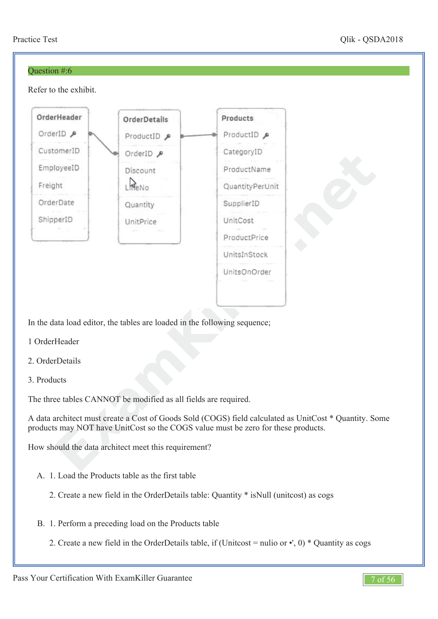#### Question #:6

Refer to the exhibit.



In the data load editor, the tables are loaded in the following sequence;

- 1 OrderHeader
- 2. OrderDetails
- 3. Products

The three tables CANNOT be modified as all fields are required.

A data architect must create a Cost of Goods Sold (COGS) field calculated as UnitCost \* Quantity. Some products may NOT have UnitCost so the COGS value must be zero for these products.

How should the data architect meet this requirement?

- A. 1. Load the Products table as the first table
	- 2. Create a new field in the OrderDetails table: Quantity \* isNull (unitcost) as cogs
- B. 1. Perform a preceding load on the Products table
	- 2. Create a new field in the OrderDetails table, if (Unitcost = nulio or  $\cdot$ ', 0) \* Quantity as cogs

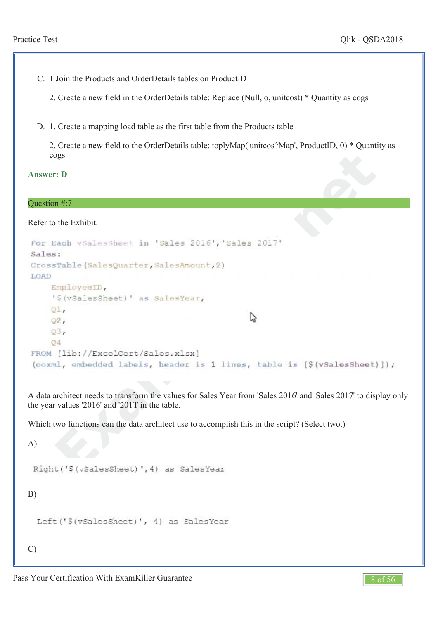C. 1 Join the Products and OrderDetails tables on ProductID

2. Create a new field in the OrderDetails table: Replace (Null, o, unitcost) \* Quantity as cogs

D. 1. Create a mapping load table as the first table from the Products table

2. Create a new field to the OrderDetails table: toplyMap('unitcos^Map', ProductID, 0) \* Quantity as cogs

**Answer: D**

#### Question #:7

Refer to the Exhibit.

```
Example 18:<br>
Example 18:<br>
Example 18:<br>
Example 18:<br>
Example 18:<br>
Example 18:<br>
Example 18:<br>
Example 18:<br>
Example 18:<br>
Example 18:<br>
Parally 18:<br>
Parally 18:<br>
Parally 18:<br>
Parally 18:<br>
Parally 18:
LOAD
```
A data architect needs to transform the values for Sales Year from 'Sales 2016' and 'Sales 2017' to display only the year values '2016' and '201T in the table.

Which two functions can the data architect use to accomplish this in the script? (Select two.)

A)

B)

```
Left('$(vSalesSheet)', 4) as SalesYear
```
C)

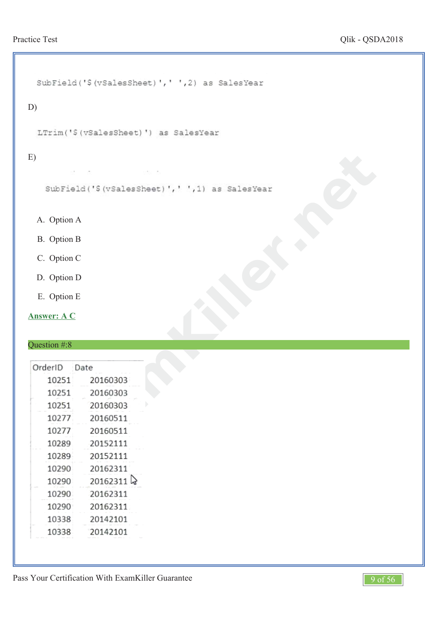```
SubField('$(vSalesSheet)',' ',2) as SalesYear
D)
 LTrim('S(vSalesSheet)') as SalesYear
E)
              amKiller.net
 A.
Option A
 B.
Option B
 C.
Option C
 D.
Option D
  E.
Option E
```
**Answer: A C**

# Question #:8

| OrderID | Date     |
|---------|----------|
| 10251   | 20160303 |
| 10251   | 20160303 |
| 10251   | 20160303 |
| 10277   | 20160511 |
| 10277   | 20160511 |
| 10289   | 20152111 |
| 10289   | 20152111 |
| 10290   | 20162311 |
| 10290   | 20162311 |
| 10290   | 20162311 |
| 10290   | 20162311 |
| 10338   | 20142101 |
| 10338   | 20142101 |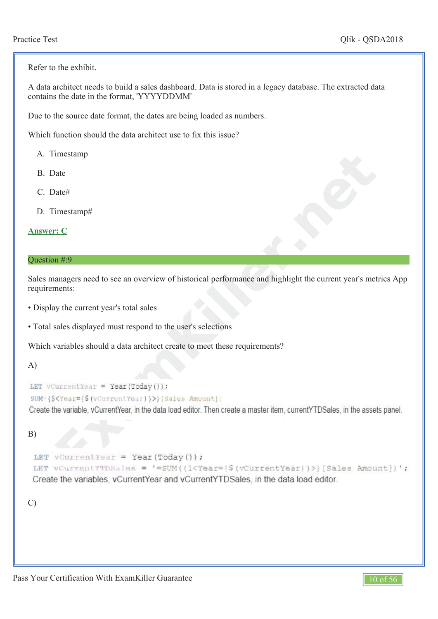Refer to the exhibit.

A data architect needs to build a sales dashboard. Data is stored in a legacy database. The extracted data contains the date in the format, 'YYYYDDMM'

Due to the source date format, the dates are being loaded as numbers.

Which function should the data architect use to fix this issue?

- A. Timestamp
- B. Date
- C. Date#
- D. Timestamp#

```
Answer: C
```
#### Question #:9

Sales managers need to see an overview of historical performance and highlight the current year's metrics App requirements:

- Display the current year's total sales
- Total sales displayed must respond to the user's selections

Which variables should a data architect create to meet these requirements?

#### A)

### B)

```
Example in the comparison of the set of the set of the set of the set of the set of the set of the set of the comparison of the current year's nems):<br>
Examples and the current year's total sales<br>
Examples and the set of t
Create the variables, vCurrentYear and vCurrentYTDSales, in the data load editor.
```
C)